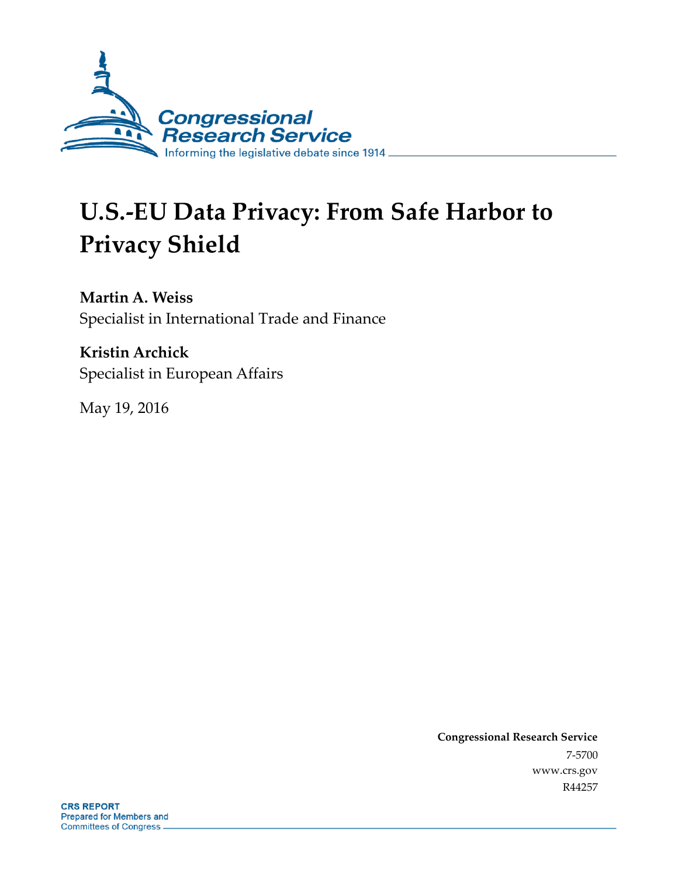

# **U.S.-EU Data Privacy: From Safe Harbor to Privacy Shield**

**Martin A. Weiss** Specialist in International Trade and Finance

**Kristin Archick** Specialist in European Affairs

May 19, 2016

**Congressional Research Service** 7-5700 www.crs.gov R44257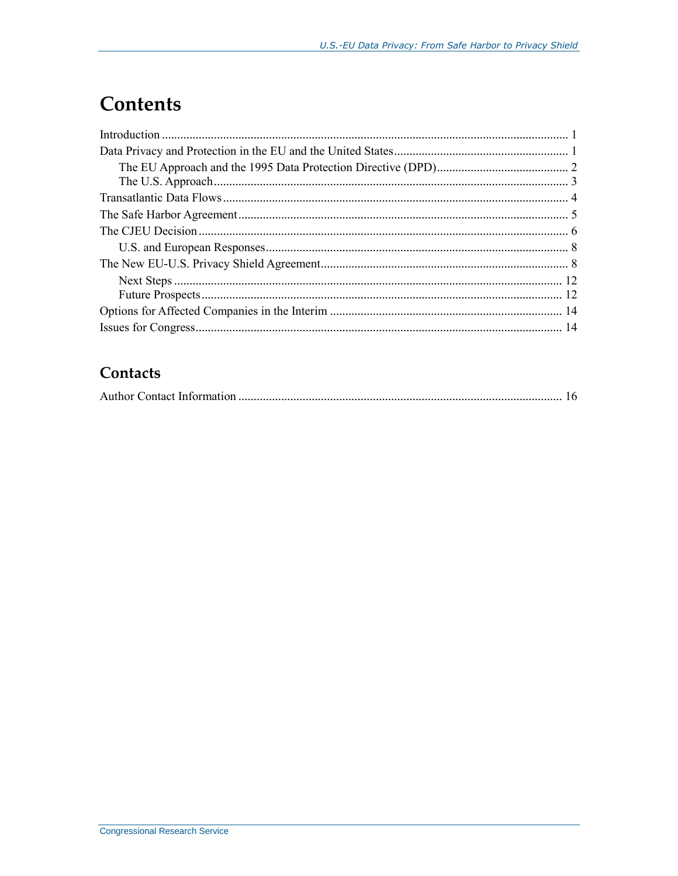## **Contents**

### Contacts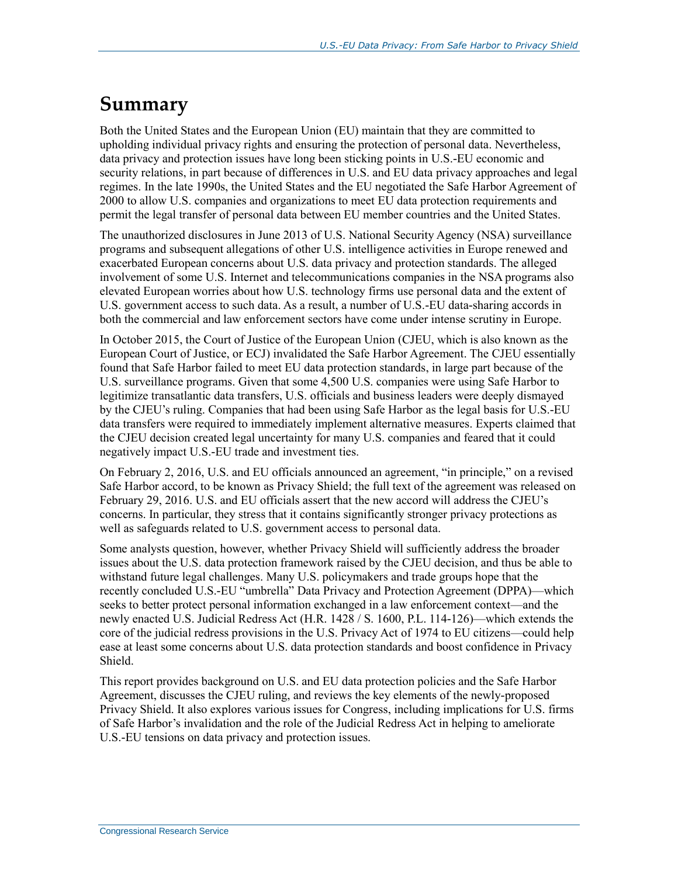### **Summary**

Both the United States and the European Union (EU) maintain that they are committed to upholding individual privacy rights and ensuring the protection of personal data. Nevertheless, data privacy and protection issues have long been sticking points in U.S.-EU economic and security relations, in part because of differences in U.S. and EU data privacy approaches and legal regimes. In the late 1990s, the United States and the EU negotiated the Safe Harbor Agreement of 2000 to allow U.S. companies and organizations to meet EU data protection requirements and permit the legal transfer of personal data between EU member countries and the United States.

The unauthorized disclosures in June 2013 of U.S. National Security Agency (NSA) surveillance programs and subsequent allegations of other U.S. intelligence activities in Europe renewed and exacerbated European concerns about U.S. data privacy and protection standards. The alleged involvement of some U.S. Internet and telecommunications companies in the NSA programs also elevated European worries about how U.S. technology firms use personal data and the extent of U.S. government access to such data. As a result, a number of U.S.-EU data-sharing accords in both the commercial and law enforcement sectors have come under intense scrutiny in Europe.

In October 2015, the Court of Justice of the European Union (CJEU, which is also known as the European Court of Justice, or ECJ) invalidated the Safe Harbor Agreement. The CJEU essentially found that Safe Harbor failed to meet EU data protection standards, in large part because of the U.S. surveillance programs. Given that some 4,500 U.S. companies were using Safe Harbor to legitimize transatlantic data transfers, U.S. officials and business leaders were deeply dismayed by the CJEU's ruling. Companies that had been using Safe Harbor as the legal basis for U.S.-EU data transfers were required to immediately implement alternative measures. Experts claimed that the CJEU decision created legal uncertainty for many U.S. companies and feared that it could negatively impact U.S.-EU trade and investment ties.

On February 2, 2016, U.S. and EU officials announced an agreement, "in principle," on a revised Safe Harbor accord, to be known as Privacy Shield; the full text of the agreement was released on February 29, 2016. U.S. and EU officials assert that the new accord will address the CJEU's concerns. In particular, they stress that it contains significantly stronger privacy protections as well as safeguards related to U.S. government access to personal data.

Some analysts question, however, whether Privacy Shield will sufficiently address the broader issues about the U.S. data protection framework raised by the CJEU decision, and thus be able to withstand future legal challenges. Many U.S. policymakers and trade groups hope that the recently concluded U.S.-EU "umbrella" Data Privacy and Protection Agreement (DPPA)—which seeks to better protect personal information exchanged in a law enforcement context—and the newly enacted U.S. Judicial Redress Act (H.R. 1428 / S. 1600, P.L. 114-126)—which extends the core of the judicial redress provisions in the U.S. Privacy Act of 1974 to EU citizens—could help ease at least some concerns about U.S. data protection standards and boost confidence in Privacy Shield.

This report provides background on U.S. and EU data protection policies and the Safe Harbor Agreement, discusses the CJEU ruling, and reviews the key elements of the newly-proposed Privacy Shield. It also explores various issues for Congress, including implications for U.S. firms of Safe Harbor's invalidation and the role of the Judicial Redress Act in helping to ameliorate U.S.-EU tensions on data privacy and protection issues.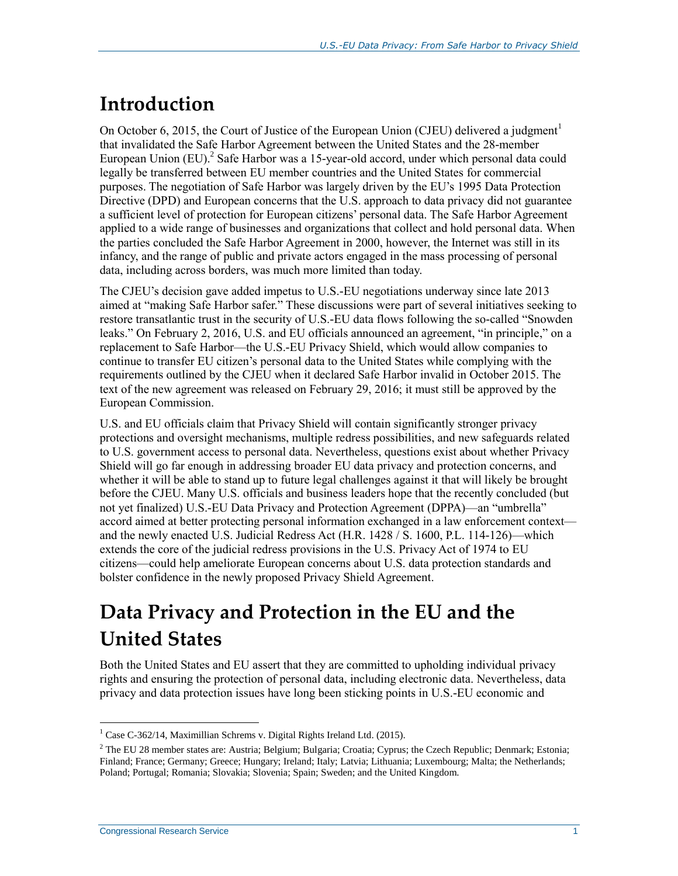## **Introduction**

On October 6, 2015, the Court of Justice of the European Union (CJEU) delivered a judgment<sup>1</sup> that invalidated the Safe Harbor Agreement between the United States and the 28-member European Union (EU).<sup>2</sup> Safe Harbor was a 15-year-old accord, under which personal data could legally be transferred between EU member countries and the United States for commercial purposes. The negotiation of Safe Harbor was largely driven by the EU's 1995 Data Protection Directive (DPD) and European concerns that the U.S. approach to data privacy did not guarantee a sufficient level of protection for European citizens' personal data. The Safe Harbor Agreement applied to a wide range of businesses and organizations that collect and hold personal data. When the parties concluded the Safe Harbor Agreement in 2000, however, the Internet was still in its infancy, and the range of public and private actors engaged in the mass processing of personal data, including across borders, was much more limited than today.

The CJEU's decision gave added impetus to U.S.-EU negotiations underway since late 2013 aimed at "making Safe Harbor safer." These discussions were part of several initiatives seeking to restore transatlantic trust in the security of U.S.-EU data flows following the so-called "Snowden leaks." On February 2, 2016, U.S. and EU officials announced an agreement, "in principle," on a replacement to Safe Harbor—the U.S.-EU Privacy Shield, which would allow companies to continue to transfer EU citizen's personal data to the United States while complying with the requirements outlined by the CJEU when it declared Safe Harbor invalid in October 2015. The text of the new agreement was released on February 29, 2016; it must still be approved by the European Commission.

U.S. and EU officials claim that Privacy Shield will contain significantly stronger privacy protections and oversight mechanisms, multiple redress possibilities, and new safeguards related to U.S. government access to personal data. Nevertheless, questions exist about whether Privacy Shield will go far enough in addressing broader EU data privacy and protection concerns, and whether it will be able to stand up to future legal challenges against it that will likely be brought before the CJEU. Many U.S. officials and business leaders hope that the recently concluded (but not yet finalized) U.S.-EU Data Privacy and Protection Agreement (DPPA)—an "umbrella" accord aimed at better protecting personal information exchanged in a law enforcement context and the newly enacted U.S. Judicial Redress Act (H.R. 1428 / S. 1600, P.L. 114-126)—which extends the core of the judicial redress provisions in the U.S. Privacy Act of 1974 to EU citizens—could help ameliorate European concerns about U.S. data protection standards and bolster confidence in the newly proposed Privacy Shield Agreement.

## **Data Privacy and Protection in the EU and the United States**

Both the United States and EU assert that they are committed to upholding individual privacy rights and ensuring the protection of personal data, including electronic data. Nevertheless, data privacy and data protection issues have long been sticking points in U.S.-EU economic and

<sup>&</sup>lt;sup>1</sup> Case C-362/14, Maximillian Schrems v. Digital Rights Ireland Ltd. (2015).

 $2$  The EU 28 member states are: Austria; Belgium; Bulgaria; Croatia; Cyprus; the Czech Republic; Denmark; Estonia; Finland; France; Germany; Greece; Hungary; Ireland; Italy; Latvia; Lithuania; Luxembourg; Malta; the Netherlands; Poland; Portugal; Romania; Slovakia; Slovenia; Spain; Sweden; and the United Kingdom.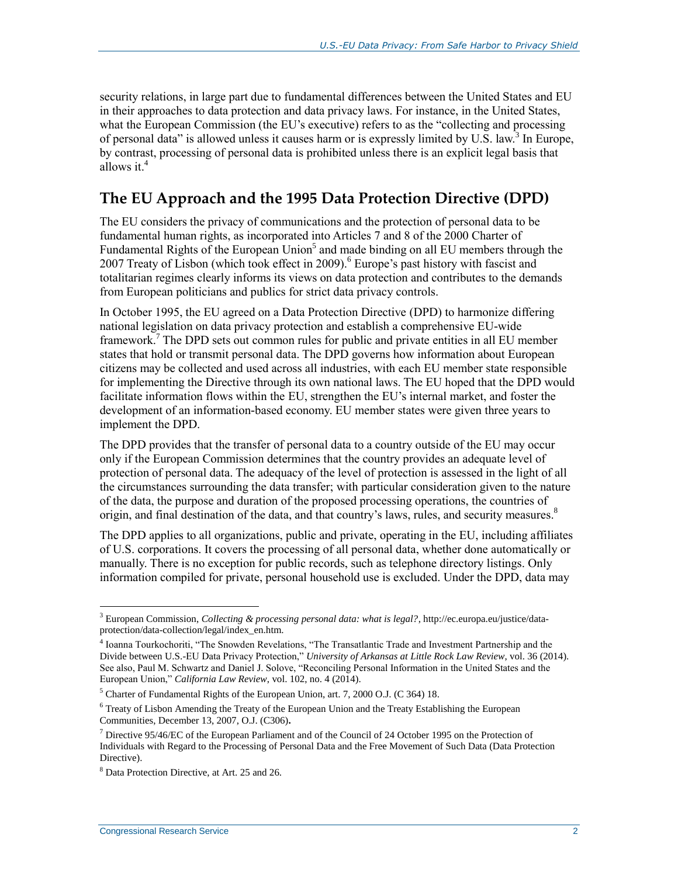security relations, in large part due to fundamental differences between the United States and EU in their approaches to data protection and data privacy laws. For instance, in the United States, what the European Commission (the EU's executive) refers to as the "collecting and processing of personal data" is allowed unless it causes harm or is expressly limited by U.S. law.<sup>3</sup> In Europe, by contrast, processing of personal data is prohibited unless there is an explicit legal basis that allows it.<sup>4</sup>

#### **The EU Approach and the 1995 Data Protection Directive (DPD)**

The EU considers the privacy of communications and the protection of personal data to be fundamental human rights, as incorporated into Articles 7 and 8 of the 2000 Charter of Fundamental Rights of the European Union<sup>5</sup> and made binding on all EU members through the 2007 Treaty of Lisbon (which took effect in 2009).<sup>6</sup> Europe's past history with fascist and totalitarian regimes clearly informs its views on data protection and contributes to the demands from European politicians and publics for strict data privacy controls.

In October 1995, the EU agreed on a Data Protection Directive (DPD) to harmonize differing national legislation on data privacy protection and establish a comprehensive EU-wide framework.<sup>7</sup> The DPD sets out common rules for public and private entities in all EU member states that hold or transmit personal data. The DPD governs how information about European citizens may be collected and used across all industries, with each EU member state responsible for implementing the Directive through its own national laws. The EU hoped that the DPD would facilitate information flows within the EU, strengthen the EU's internal market, and foster the development of an information-based economy. EU member states were given three years to implement the DPD.

The DPD provides that the transfer of personal data to a country outside of the EU may occur only if the European Commission determines that the country provides an adequate level of protection of personal data. The adequacy of the level of protection is assessed in the light of all the circumstances surrounding the data transfer; with particular consideration given to the nature of the data, the purpose and duration of the proposed processing operations, the countries of origin, and final destination of the data, and that country's laws, rules, and security measures. 8

The DPD applies to all organizations, public and private, operating in the EU, including affiliates of U.S. corporations. It covers the processing of all personal data, whether done automatically or manually. There is no exception for public records, such as telephone directory listings. Only information compiled for private, personal household use is excluded. Under the DPD, data may

<sup>3</sup> European Commission, *Collecting & processing personal data: what is legal?*, http://ec.europa.eu/justice/dataprotection/data-collection/legal/index\_en.htm.

<sup>4</sup> Ioanna Tourkochoriti, "The Snowden Revelations, "The Transatlantic Trade and Investment Partnership and the Divide between U.S.-EU Data Privacy Protection," *University of Arkansas at Little Rock Law Review*, vol. 36 (2014). See also, Paul M. Schwartz and Daniel J. Solove, "Reconciling Personal Information in the United States and the European Union," *California Law Review*, vol. 102, no. 4 (2014).

<sup>5</sup> Charter of Fundamental Rights of the European Union, art. 7, 2000 O.J. (C 364) 18.

 $6$  Treaty of Lisbon Amending the Treaty of the European Union and the Treaty Establishing the European Communities, December 13, 2007, O.J. (C306)**.**

<sup>7</sup> Directive 95/46/EC of the European Parliament and of the Council of 24 October 1995 on the Protection of Individuals with Regard to the Processing of Personal Data and the Free Movement of Such Data (Data Protection Directive).

<sup>8</sup> Data Protection Directive, at Art. 25 and 26.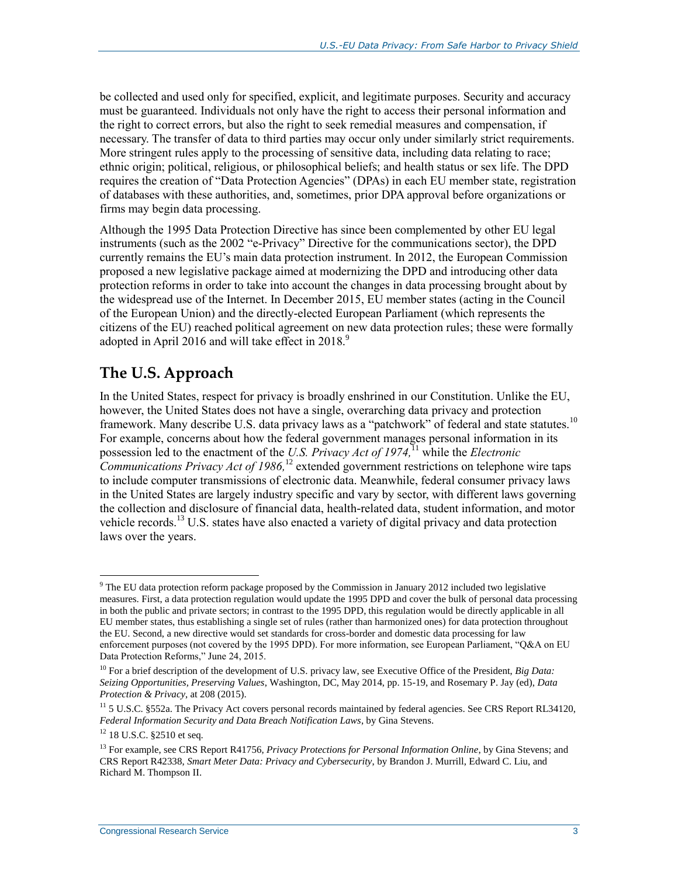be collected and used only for specified, explicit, and legitimate purposes. Security and accuracy must be guaranteed. Individuals not only have the right to access their personal information and the right to correct errors, but also the right to seek remedial measures and compensation, if necessary. The transfer of data to third parties may occur only under similarly strict requirements. More stringent rules apply to the processing of sensitive data, including data relating to race; ethnic origin; political, religious, or philosophical beliefs; and health status or sex life. The DPD requires the creation of "Data Protection Agencies" (DPAs) in each EU member state, registration of databases with these authorities, and, sometimes, prior DPA approval before organizations or firms may begin data processing.

Although the 1995 Data Protection Directive has since been complemented by other EU legal instruments (such as the 2002 "e-Privacy" Directive for the communications sector), the DPD currently remains the EU's main data protection instrument. In 2012, the European Commission proposed a new legislative package aimed at modernizing the DPD and introducing other data protection reforms in order to take into account the changes in data processing brought about by the widespread use of the Internet. In December 2015, EU member states (acting in the Council of the European Union) and the directly-elected European Parliament (which represents the citizens of the EU) reached political agreement on new data protection rules; these were formally adopted in April 2016 and will take effect in 2018.<sup>9</sup>

### **The U.S. Approach**

In the United States, respect for privacy is broadly enshrined in our Constitution. Unlike the EU, however, the United States does not have a single, overarching data privacy and protection framework. Many describe U.S. data privacy laws as a "patchwork" of federal and state statutes.<sup>10</sup> For example, concerns about how the federal government manages personal information in its possession led to the enactment of the *U.S. Privacy Act of 1974*,<sup>11</sup> while the *Electronic Communications Privacy Act of 1986,* <sup>12</sup> extended government restrictions on telephone wire taps to include computer transmissions of electronic data. Meanwhile, federal consumer privacy laws in the United States are largely industry specific and vary by sector, with different laws governing the collection and disclosure of financial data, health-related data, student information, and motor vehicle records.<sup>13</sup> U.S. states have also enacted a variety of digital privacy and data protection laws over the years.

<sup>&</sup>lt;sup>9</sup> The EU data protection reform package proposed by the Commission in January 2012 included two legislative measures. First, a data protection regulation would update the 1995 DPD and cover the bulk of personal data processing in both the public and private sectors; in contrast to the 1995 DPD, this regulation would be directly applicable in all EU member states, thus establishing a single set of rules (rather than harmonized ones) for data protection throughout the EU. Second, a new directive would set standards for cross-border and domestic data processing for law enforcement purposes (not covered by the 1995 DPD). For more information, see European Parliament, "Q&A on EU Data Protection Reforms," June 24, 2015.

<sup>10</sup> For a brief description of the development of U.S. privacy law, see Executive Office of the President, *Big Data: Seizing Opportunities, Preserving Values*, Washington, DC, May 2014, pp. 15-19, and Rosemary P. Jay (ed), *Data Protection & Privacy*, at 208 (2015).

<sup>&</sup>lt;sup>11</sup> 5 U.S.C. §552a. The Privacy Act covers personal records maintained by federal agencies. See CRS Report RL34120, *Federal Information Security and Data Breach Notification Laws*, by Gina Stevens.

<sup>&</sup>lt;sup>12</sup> 18 U.S.C. §2510 et seq.

<sup>&</sup>lt;sup>13</sup> For example, see CRS Report R41756, *Privacy Protections for Personal Information Online*, by Gina Stevens; and CRS Report R42338, *Smart Meter Data: Privacy and Cybersecurity*, by Brandon J. Murrill, Edward C. Liu, and Richard M. Thompson II.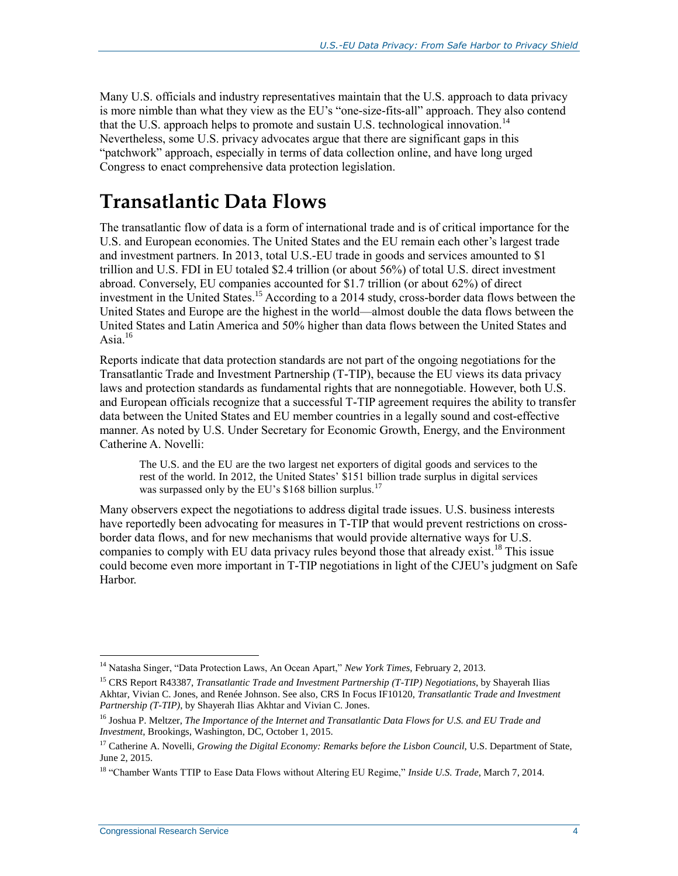Many U.S. officials and industry representatives maintain that the U.S. approach to data privacy is more nimble than what they view as the EU's "one-size-fits-all" approach. They also contend that the U.S. approach helps to promote and sustain U.S. technological innovation.<sup>14</sup> Nevertheless, some U.S. privacy advocates argue that there are significant gaps in this "patchwork" approach, especially in terms of data collection online, and have long urged Congress to enact comprehensive data protection legislation.

### **Transatlantic Data Flows**

The transatlantic flow of data is a form of international trade and is of critical importance for the U.S. and European economies. The United States and the EU remain each other's largest trade and investment partners. In 2013, total U.S.-EU trade in goods and services amounted to \$1 trillion and U.S. FDI in EU totaled \$2.4 trillion (or about 56%) of total U.S. direct investment abroad. Conversely, EU companies accounted for \$1.7 trillion (or about 62%) of direct investment in the United States. <sup>15</sup> According to a 2014 study, cross-border data flows between the United States and Europe are the highest in the world—almost double the data flows between the United States and Latin America and 50% higher than data flows between the United States and Asia. $16$ 

Reports indicate that data protection standards are not part of the ongoing negotiations for the Transatlantic Trade and Investment Partnership (T-TIP), because the EU views its data privacy laws and protection standards as fundamental rights that are nonnegotiable. However, both U.S. and European officials recognize that a successful T-TIP agreement requires the ability to transfer data between the United States and EU member countries in a legally sound and cost-effective manner. As noted by U.S. Under Secretary for Economic Growth, Energy, and the Environment Catherine A. Novelli:

The U.S. and the EU are the two largest net exporters of digital goods and services to the rest of the world. In 2012, the United States' \$151 billion trade surplus in digital services was surpassed only by the EU's \$168 billion surplus.<sup>17</sup>

Many observers expect the negotiations to address digital trade issues. U.S. business interests have reportedly been advocating for measures in T-TIP that would prevent restrictions on crossborder data flows, and for new mechanisms that would provide alternative ways for U.S. companies to comply with EU data privacy rules beyond those that already exist.<sup>18</sup> This issue could become even more important in T-TIP negotiations in light of the CJEU's judgment on Safe Harbor.

 $\overline{a}$ <sup>14</sup> Natasha Singer, "Data Protection Laws, An Ocean Apart," *New York Times*, February 2, 2013.

<sup>15</sup> CRS Report R43387, *Transatlantic Trade and Investment Partnership (T-TIP) Negotiations*, by Shayerah Ilias Akhtar, Vivian C. Jones, and Renée Johnson. See also, CRS In Focus IF10120, *Transatlantic Trade and Investment Partnership (T-TIP)*, by Shayerah Ilias Akhtar and Vivian C. Jones.

<sup>16</sup> Joshua P. Meltzer, *The Importance of the Internet and Transatlantic Data Flows for U.S. and EU Trade and Investment*, Brookings, Washington, DC, October 1, 2015.

<sup>&</sup>lt;sup>17</sup> Catherine A. Novelli, *Growing the Digital Economy: Remarks before the Lisbon Council*, U.S. Department of State, June 2, 2015.

<sup>18</sup> "Chamber Wants TTIP to Ease Data Flows without Altering EU Regime," *Inside U.S. Trade*, March 7, 2014.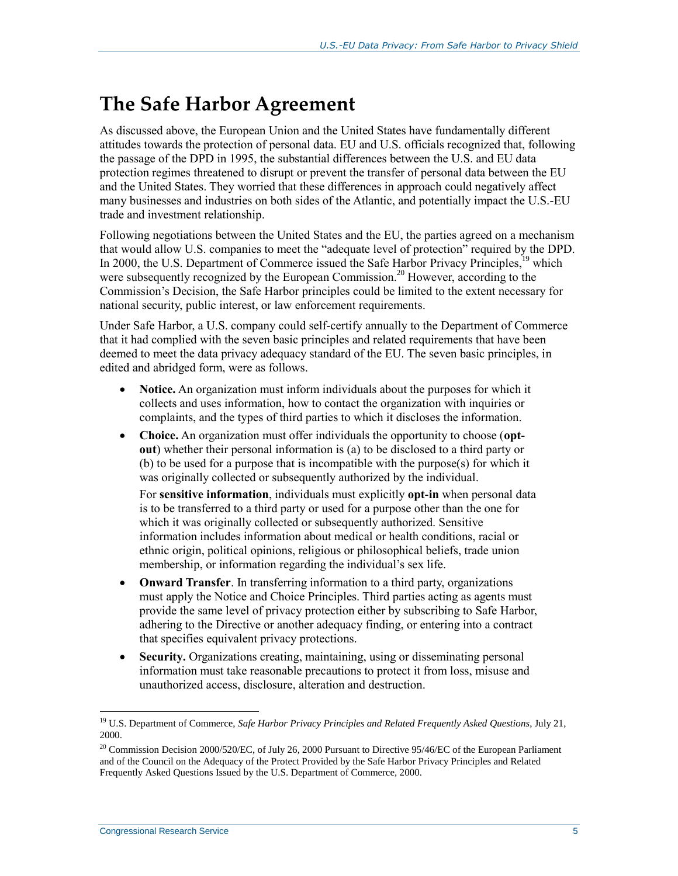## **The Safe Harbor Agreement**

As discussed above, the European Union and the United States have fundamentally different attitudes towards the protection of personal data. EU and U.S. officials recognized that, following the passage of the DPD in 1995, the substantial differences between the U.S. and EU data protection regimes threatened to disrupt or prevent the transfer of personal data between the EU and the United States. They worried that these differences in approach could negatively affect many businesses and industries on both sides of the Atlantic, and potentially impact the U.S.-EU trade and investment relationship.

Following negotiations between the United States and the EU, the parties agreed on a mechanism that would allow U.S. companies to meet the "adequate level of protection" required by the DPD. In 2000, the U.S. Department of Commerce issued the Safe Harbor Privacy Principles,<sup>19</sup> which were subsequently recognized by the European Commission.<sup>20</sup> However, according to the Commission's Decision, the Safe Harbor principles could be limited to the extent necessary for national security, public interest, or law enforcement requirements.

Under Safe Harbor, a U.S. company could self-certify annually to the Department of Commerce that it had complied with the seven basic principles and related requirements that have been deemed to meet the data privacy adequacy standard of the EU. The seven basic principles, in edited and abridged form, were as follows.

- **Notice.** An organization must inform individuals about the purposes for which it collects and uses information, how to contact the organization with inquiries or complaints, and the types of third parties to which it discloses the information.
- Choice. An organization must offer individuals the opportunity to choose (opt**out**) whether their personal information is (a) to be disclosed to a third party or (b) to be used for a purpose that is incompatible with the purpose(s) for which it was originally collected or subsequently authorized by the individual.

For **sensitive information**, individuals must explicitly **opt-in** when personal data is to be transferred to a third party or used for a purpose other than the one for which it was originally collected or subsequently authorized. Sensitive information includes information about medical or health conditions, racial or ethnic origin, political opinions, religious or philosophical beliefs, trade union membership, or information regarding the individual's sex life.

- **Onward Transfer**. In transferring information to a third party, organizations must apply the Notice and Choice Principles. Third parties acting as agents must provide the same level of privacy protection either by subscribing to Safe Harbor, adhering to the Directive or another adequacy finding, or entering into a contract that specifies equivalent privacy protections.
- **Security.** Organizations creating, maintaining, using or disseminating personal information must take reasonable precautions to protect it from loss, misuse and unauthorized access, disclosure, alteration and destruction.

<sup>19</sup> U.S. Department of Commerce, *Safe Harbor Privacy Principles and Related Frequently Asked Questions*, July 21, 2000.

<sup>&</sup>lt;sup>20</sup> Commission Decision 2000/520/EC, of July 26, 2000 Pursuant to Directive 95/46/EC of the European Parliament and of the Council on the Adequacy of the Protect Provided by the Safe Harbor Privacy Principles and Related Frequently Asked Questions Issued by the U.S. Department of Commerce, 2000.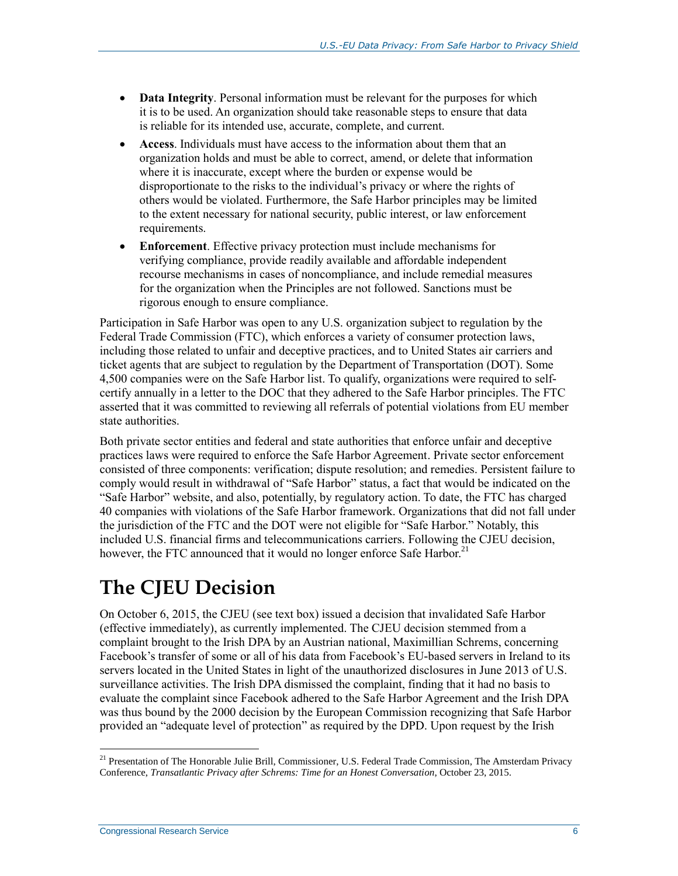- **Data Integrity**. Personal information must be relevant for the purposes for which it is to be used. An organization should take reasonable steps to ensure that data is reliable for its intended use, accurate, complete, and current.
- **Access**. Individuals must have access to the information about them that an organization holds and must be able to correct, amend, or delete that information where it is inaccurate, except where the burden or expense would be disproportionate to the risks to the individual's privacy or where the rights of others would be violated. Furthermore, the Safe Harbor principles may be limited to the extent necessary for national security, public interest, or law enforcement requirements.
- **Enforcement**. Effective privacy protection must include mechanisms for verifying compliance, provide readily available and affordable independent recourse mechanisms in cases of noncompliance, and include remedial measures for the organization when the Principles are not followed. Sanctions must be rigorous enough to ensure compliance.

Participation in Safe Harbor was open to any U.S. organization subject to regulation by the Federal Trade Commission (FTC), which enforces a variety of consumer protection laws, including those related to unfair and deceptive practices, and to United States air carriers and ticket agents that are subject to regulation by the Department of Transportation (DOT). Some 4,500 companies were on the Safe Harbor list. To qualify, organizations were required to selfcertify annually in a letter to the DOC that they adhered to the Safe Harbor principles. The FTC asserted that it was committed to reviewing all referrals of potential violations from EU member state authorities.

Both private sector entities and federal and state authorities that enforce unfair and deceptive practices laws were required to enforce the Safe Harbor Agreement. Private sector enforcement consisted of three components: verification; dispute resolution; and remedies. Persistent failure to comply would result in withdrawal of "Safe Harbor" status, a fact that would be indicated on the "Safe Harbor" website, and also, potentially, by regulatory action. To date, the FTC has charged 40 companies with violations of the Safe Harbor framework. Organizations that did not fall under the jurisdiction of the FTC and the DOT were not eligible for "Safe Harbor." Notably, this included U.S. financial firms and telecommunications carriers. Following the CJEU decision, however, the FTC announced that it would no longer enforce Safe Harbor.<sup>21</sup>

## **The CJEU Decision**

On October 6, 2015, the CJEU (see text box) issued a decision that invalidated Safe Harbor (effective immediately), as currently implemented. The CJEU decision stemmed from a complaint brought to the Irish DPA by an Austrian national, Maximillian Schrems, concerning Facebook's transfer of some or all of his data from Facebook's EU-based servers in Ireland to its servers located in the United States in light of the unauthorized disclosures in June 2013 of U.S. surveillance activities. The Irish DPA dismissed the complaint, finding that it had no basis to evaluate the complaint since Facebook adhered to the Safe Harbor Agreement and the Irish DPA was thus bound by the 2000 decision by the European Commission recognizing that Safe Harbor provided an "adequate level of protection" as required by the DPD. Upon request by the Irish

<sup>&</sup>lt;sup>21</sup> Presentation of The Honorable Julie Brill, Commissioner, U.S. Federal Trade Commission, The Amsterdam Privacy Conference, *Transatlantic Privacy after Schrems: Time for an Honest Conversation*, October 23, 2015.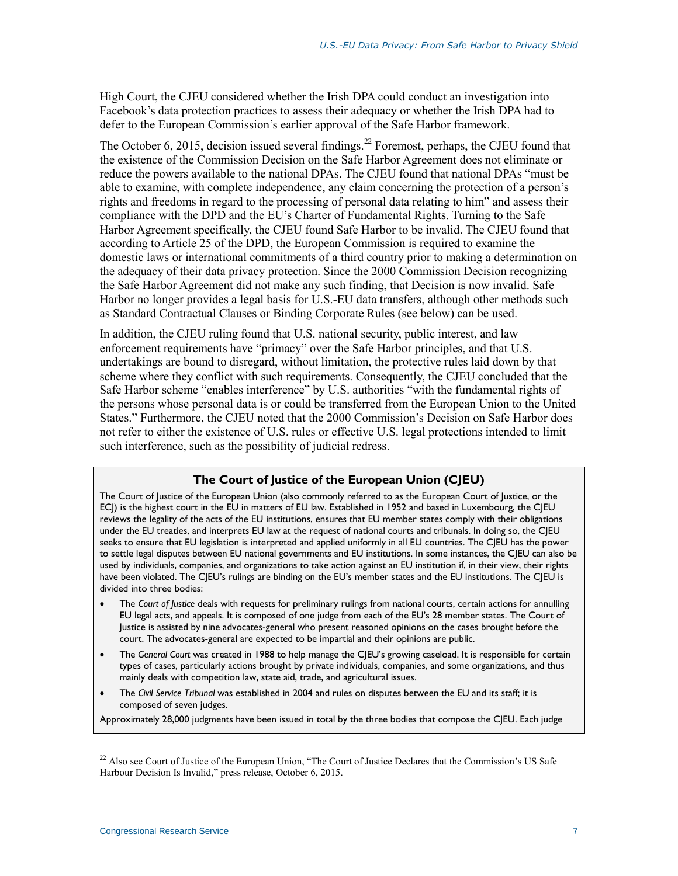High Court, the CJEU considered whether the Irish DPA could conduct an investigation into Facebook's data protection practices to assess their adequacy or whether the Irish DPA had to defer to the European Commission's earlier approval of the Safe Harbor framework.

The October 6, 2015, decision issued several findings.<sup>22</sup> Foremost, perhaps, the CJEU found that the existence of the Commission Decision on the Safe Harbor Agreement does not eliminate or reduce the powers available to the national DPAs. The CJEU found that national DPAs "must be able to examine, with complete independence, any claim concerning the protection of a person's rights and freedoms in regard to the processing of personal data relating to him" and assess their compliance with the DPD and the EU's Charter of Fundamental Rights. Turning to the Safe Harbor Agreement specifically, the CJEU found Safe Harbor to be invalid. The CJEU found that according to Article 25 of the DPD, the European Commission is required to examine the domestic laws or international commitments of a third country prior to making a determination on the adequacy of their data privacy protection. Since the 2000 Commission Decision recognizing the Safe Harbor Agreement did not make any such finding, that Decision is now invalid. Safe Harbor no longer provides a legal basis for U.S.-EU data transfers, although other methods such as Standard Contractual Clauses or Binding Corporate Rules (see below) can be used.

In addition, the CJEU ruling found that U.S. national security, public interest, and law enforcement requirements have "primacy" over the Safe Harbor principles, and that U.S. undertakings are bound to disregard, without limitation, the protective rules laid down by that scheme where they conflict with such requirements. Consequently, the CJEU concluded that the Safe Harbor scheme "enables interference" by U.S. authorities "with the fundamental rights of the persons whose personal data is or could be transferred from the European Union to the United States." Furthermore, the CJEU noted that the 2000 Commission's Decision on Safe Harbor does not refer to either the existence of U.S. rules or effective U.S. legal protections intended to limit such interference, such as the possibility of judicial redress.

#### **The Court of Justice of the European Union (CJEU)**

The Court of Justice of the European Union (also commonly referred to as the European Court of Justice, or the ECJ) is the highest court in the EU in matters of EU law. Established in 1952 and based in Luxembourg, the CJEU reviews the legality of the acts of the EU institutions, ensures that EU member states comply with their obligations under the EU treaties, and interprets EU law at the request of national courts and tribunals. In doing so, the CJEU seeks to ensure that EU legislation is interpreted and applied uniformly in all EU countries. The CJEU has the power to settle legal disputes between EU national governments and EU institutions. In some instances, the CJEU can also be used by individuals, companies, and organizations to take action against an EU institution if, in their view, their rights have been violated. The CJEU's rulings are binding on the EU's member states and the EU institutions. The CJEU is divided into three bodies:

- The *Court of Justice* deals with requests for preliminary rulings from national courts, certain actions for annulling EU legal acts, and appeals. It is composed of one judge from each of the EU's 28 member states. The Court of Justice is assisted by nine advocates-general who present reasoned opinions on the cases brought before the court. The advocates-general are expected to be impartial and their opinions are public.
- The *General Court* was created in 1988 to help manage the CJEU's growing caseload. It is responsible for certain types of cases, particularly actions brought by private individuals, companies, and some organizations, and thus mainly deals with competition law, state aid, trade, and agricultural issues.
- The *Civil Service Tribunal* was established in 2004 and rules on disputes between the EU and its staff; it is composed of seven judges.

Approximately 28,000 judgments have been issued in total by the three bodies that compose the CJEU. Each judge

 $22$  Also see Court of Justice of the European Union, "The Court of Justice Declares that the Commission's US Safe Harbour Decision Is Invalid," press release, October 6, 2015.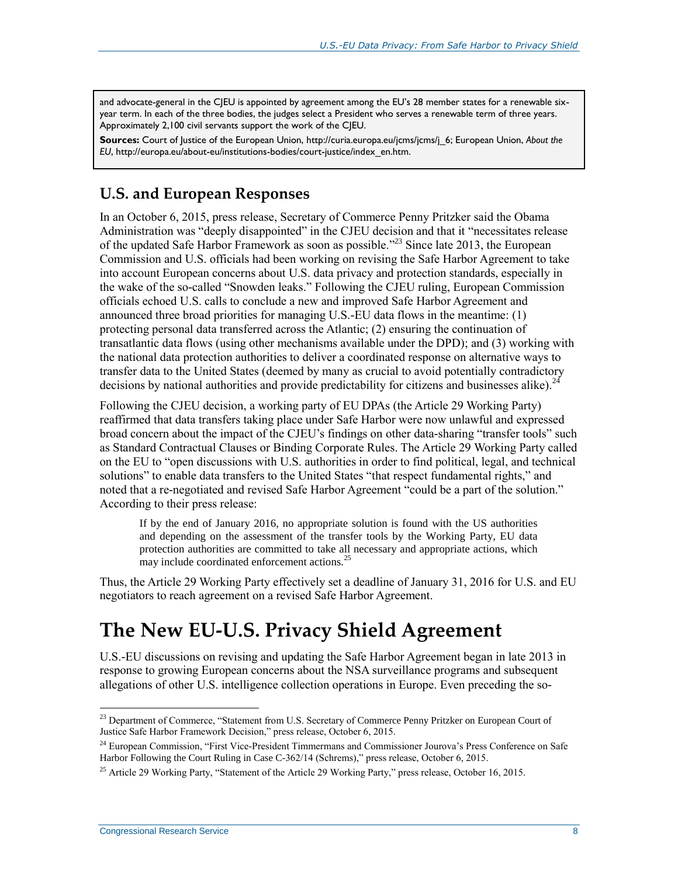and advocate-general in the CJEU is appointed by agreement among the EU's 28 member states for a renewable sixyear term. In each of the three bodies, the judges select a President who serves a renewable term of three years. Approximately 2,100 civil servants support the work of the CJEU.

**Sources:** Court of Justice of the European Union, http://curia.europa.eu/jcms/jcms/j\_6; European Union, *About the EU*, http://europa.eu/about-eu/institutions-bodies/court-justice/index\_en.htm.

#### **U.S. and European Responses**

In an October 6, 2015, press release, Secretary of Commerce Penny Pritzker said the Obama Administration was "deeply disappointed" in the CJEU decision and that it "necessitates release of the updated Safe Harbor Framework as soon as possible."<sup>23</sup> Since late 2013, the European Commission and U.S. officials had been working on revising the Safe Harbor Agreement to take into account European concerns about U.S. data privacy and protection standards, especially in the wake of the so-called "Snowden leaks." Following the CJEU ruling, European Commission officials echoed U.S. calls to conclude a new and improved Safe Harbor Agreement and announced three broad priorities for managing U.S.-EU data flows in the meantime: (1) protecting personal data transferred across the Atlantic; (2) ensuring the continuation of transatlantic data flows (using other mechanisms available under the DPD); and (3) working with the national data protection authorities to deliver a coordinated response on alternative ways to transfer data to the United States (deemed by many as crucial to avoid potentially contradictory decisions by national authorities and provide predictability for citizens and businesses alike).<sup>24</sup>

Following the CJEU decision, a working party of EU DPAs (the Article 29 Working Party) reaffirmed that data transfers taking place under Safe Harbor were now unlawful and expressed broad concern about the impact of the CJEU's findings on other data-sharing "transfer tools" such as Standard Contractual Clauses or Binding Corporate Rules. The Article 29 Working Party called on the EU to "open discussions with U.S. authorities in order to find political, legal, and technical solutions" to enable data transfers to the United States "that respect fundamental rights," and noted that a re-negotiated and revised Safe Harbor Agreement "could be a part of the solution." According to their press release:

If by the end of January 2016, no appropriate solution is found with the US authorities and depending on the assessment of the transfer tools by the Working Party, EU data protection authorities are committed to take all necessary and appropriate actions, which may include coordinated enforcement actions.<sup>25</sup>

Thus, the Article 29 Working Party effectively set a deadline of January 31, 2016 for U.S. and EU negotiators to reach agreement on a revised Safe Harbor Agreement.

### **The New EU-U.S. Privacy Shield Agreement**

U.S.-EU discussions on revising and updating the Safe Harbor Agreement began in late 2013 in response to growing European concerns about the NSA surveillance programs and subsequent allegations of other U.S. intelligence collection operations in Europe. Even preceding the so-

<sup>&</sup>lt;sup>23</sup> Department of Commerce, "Statement from U.S. Secretary of Commerce Penny Pritzker on European Court of Justice Safe Harbor Framework Decision," press release, October 6, 2015.

<sup>&</sup>lt;sup>24</sup> European Commission, "First Vice-President Timmermans and Commissioner Jourova's Press Conference on Safe Harbor Following the Court Ruling in Case C-362/14 (Schrems)," press release, October 6, 2015.

<sup>&</sup>lt;sup>25</sup> Article 29 Working Party, "Statement of the Article 29 Working Party," press release, October 16, 2015.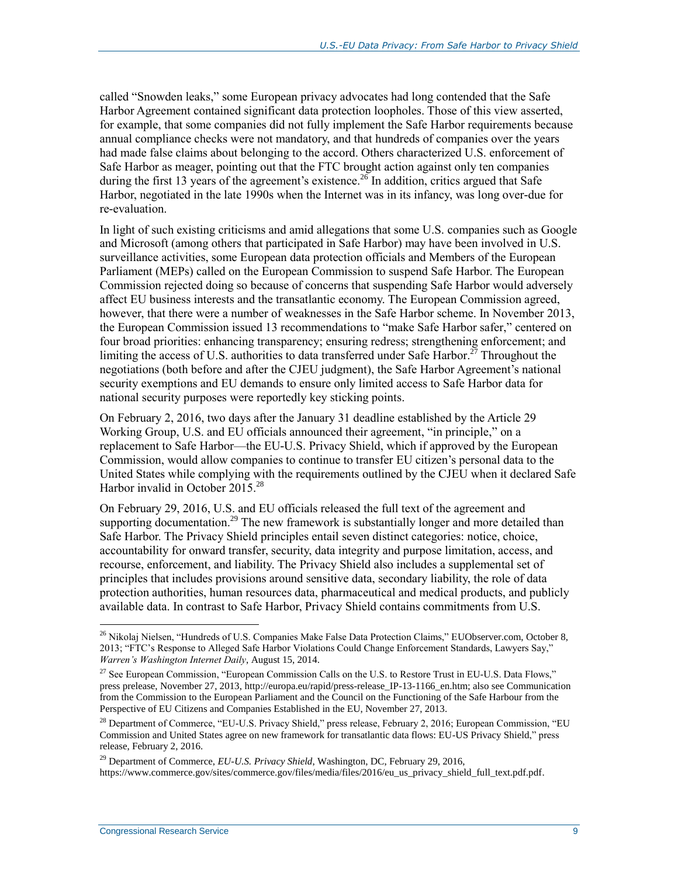called "Snowden leaks," some European privacy advocates had long contended that the Safe Harbor Agreement contained significant data protection loopholes. Those of this view asserted, for example, that some companies did not fully implement the Safe Harbor requirements because annual compliance checks were not mandatory, and that hundreds of companies over the years had made false claims about belonging to the accord. Others characterized U.S. enforcement of Safe Harbor as meager, pointing out that the FTC brought action against only ten companies during the first 13 years of the agreement's existence.<sup>26</sup> In addition, critics argued that Safe Harbor, negotiated in the late 1990s when the Internet was in its infancy, was long over-due for re-evaluation.

In light of such existing criticisms and amid allegations that some U.S. companies such as Google and Microsoft (among others that participated in Safe Harbor) may have been involved in U.S. surveillance activities, some European data protection officials and Members of the European Parliament (MEPs) called on the European Commission to suspend Safe Harbor. The European Commission rejected doing so because of concerns that suspending Safe Harbor would adversely affect EU business interests and the transatlantic economy. The European Commission agreed, however, that there were a number of weaknesses in the Safe Harbor scheme. In November 2013, the European Commission issued 13 recommendations to "make Safe Harbor safer," centered on four broad priorities: enhancing transparency; ensuring redress; strengthening enforcement; and limiting the access of U.S. authorities to data transferred under Safe Harbor.<sup>27</sup> Throughout the negotiations (both before and after the CJEU judgment), the Safe Harbor Agreement's national security exemptions and EU demands to ensure only limited access to Safe Harbor data for national security purposes were reportedly key sticking points.

On February 2, 2016, two days after the January 31 deadline established by the Article 29 Working Group, U.S. and EU officials announced their agreement, "in principle," on a replacement to Safe Harbor—the EU-U.S. Privacy Shield, which if approved by the European Commission, would allow companies to continue to transfer EU citizen's personal data to the United States while complying with the requirements outlined by the CJEU when it declared Safe Harbor invalid in October 2015.<sup>28</sup>

On February 29, 2016, U.S. and EU officials released the full text of the agreement and supporting documentation.<sup>29</sup> The new framework is substantially longer and more detailed than Safe Harbor. The Privacy Shield principles entail seven distinct categories: notice, choice, accountability for onward transfer, security, data integrity and purpose limitation, access, and recourse, enforcement, and liability. The Privacy Shield also includes a supplemental set of principles that includes provisions around sensitive data, secondary liability, the role of data protection authorities, human resources data, pharmaceutical and medical products, and publicly available data. In contrast to Safe Harbor, Privacy Shield contains commitments from U.S.

<sup>29</sup> Department of Commerce, *EU-U.S. Privacy Shield*, Washington, DC, February 29, 2016, https://www.commerce.gov/sites/commerce.gov/files/media/files/2016/eu\_us\_privacy\_shield\_full\_text.pdf.pdf.

<sup>&</sup>lt;sup>26</sup> Nikolaj Nielsen, "Hundreds of U.S. Companies Make False Data Protection Claims," EUObserver.com, October 8, 2013; "FTC's Response to Alleged Safe Harbor Violations Could Change Enforcement Standards, Lawyers Say," *Warren's Washington Internet Daily*, August 15, 2014.

<sup>&</sup>lt;sup>27</sup> See European Commission, "European Commission Calls on the U.S. to Restore Trust in EU-U.S. Data Flows," press prelease, November 27, 2013, http://europa.eu/rapid/press-release\_IP-13-1166\_en.htm; also see Communication from the Commission to the European Parliament and the Council on the Functioning of the Safe Harbour from the Perspective of EU Citizens and Companies Established in the EU, November 27, 2013.

<sup>&</sup>lt;sup>28</sup> Department of Commerce, "EU-U.S. Privacy Shield," press release, February 2, 2016; European Commission, "EU Commission and United States agree on new framework for transatlantic data flows: EU-US Privacy Shield," press release, February 2, 2016.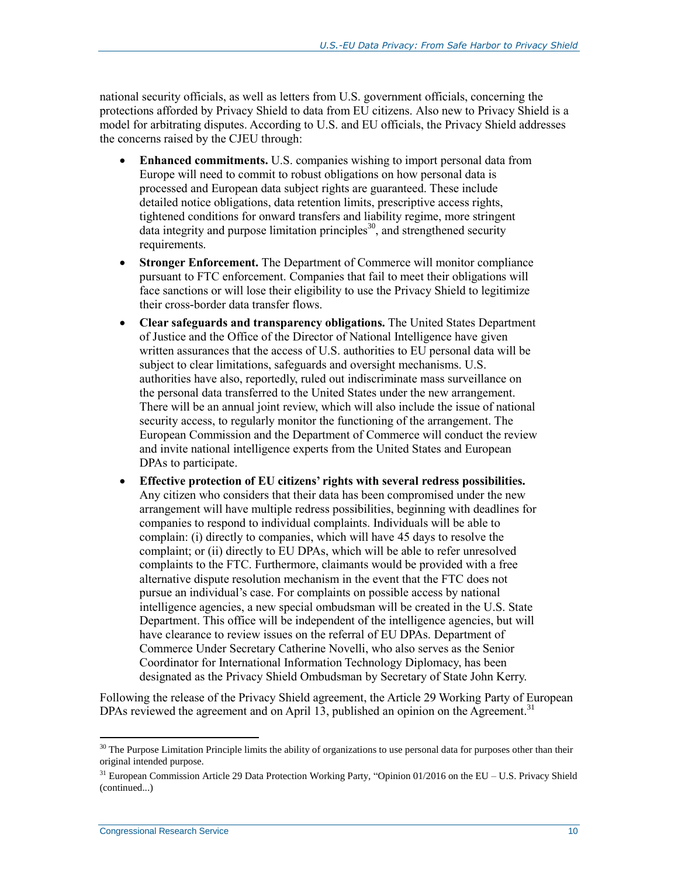national security officials, as well as letters from U.S. government officials, concerning the protections afforded by Privacy Shield to data from EU citizens. Also new to Privacy Shield is a model for arbitrating disputes. According to U.S. and EU officials, the Privacy Shield addresses the concerns raised by the CJEU through:

- **Enhanced commitments.** U.S. companies wishing to import personal data from Europe will need to commit to robust obligations on how personal data is processed and European data subject rights are guaranteed. These include detailed notice obligations, data retention limits, prescriptive access rights, tightened conditions for onward transfers and liability regime, more stringent data integrity and purpose limitation principles<sup>30</sup>, and strengthened security requirements.
- **Stronger Enforcement.** The Department of Commerce will monitor compliance pursuant to FTC enforcement. Companies that fail to meet their obligations will face sanctions or will lose their eligibility to use the Privacy Shield to legitimize their cross-border data transfer flows.
- **Clear safeguards and transparency obligations.** The United States Department of Justice and the Office of the Director of National Intelligence have given written assurances that the access of U.S. authorities to EU personal data will be subject to clear limitations, safeguards and oversight mechanisms. U.S. authorities have also, reportedly, ruled out indiscriminate mass surveillance on the personal data transferred to the United States under the new arrangement. There will be an annual joint review, which will also include the issue of national security access, to regularly monitor the functioning of the arrangement. The European Commission and the Department of Commerce will conduct the review and invite national intelligence experts from the United States and European DPAs to participate.
- **Effective protection of EU citizens' rights with several redress possibilities.**  Any citizen who considers that their data has been compromised under the new arrangement will have multiple redress possibilities, beginning with deadlines for companies to respond to individual complaints. Individuals will be able to complain: (i) directly to companies, which will have 45 days to resolve the complaint; or (ii) directly to EU DPAs, which will be able to refer unresolved complaints to the FTC. Furthermore, claimants would be provided with a free alternative dispute resolution mechanism in the event that the FTC does not pursue an individual's case. For complaints on possible access by national intelligence agencies, a new special ombudsman will be created in the U.S. State Department. This office will be independent of the intelligence agencies, but will have clearance to review issues on the referral of EU DPAs. Department of Commerce Under Secretary Catherine Novelli, who also serves as the Senior Coordinator for International Information Technology Diplomacy, has been designated as the Privacy Shield Ombudsman by Secretary of State John Kerry.

Following the release of the Privacy Shield agreement, the Article 29 Working Party of European DPAs reviewed the agreement and on April 13, published an opinion on the Agreement.<sup>31</sup>

 $30$  The Purpose Limitation Principle limits the ability of organizations to use personal data for purposes other than their original intended purpose.

<sup>&</sup>lt;sup>31</sup> European Commission Article 29 Data Protection Working Party, "Opinion 01/2016 on the EU – U.S. Privacy Shield (continued...)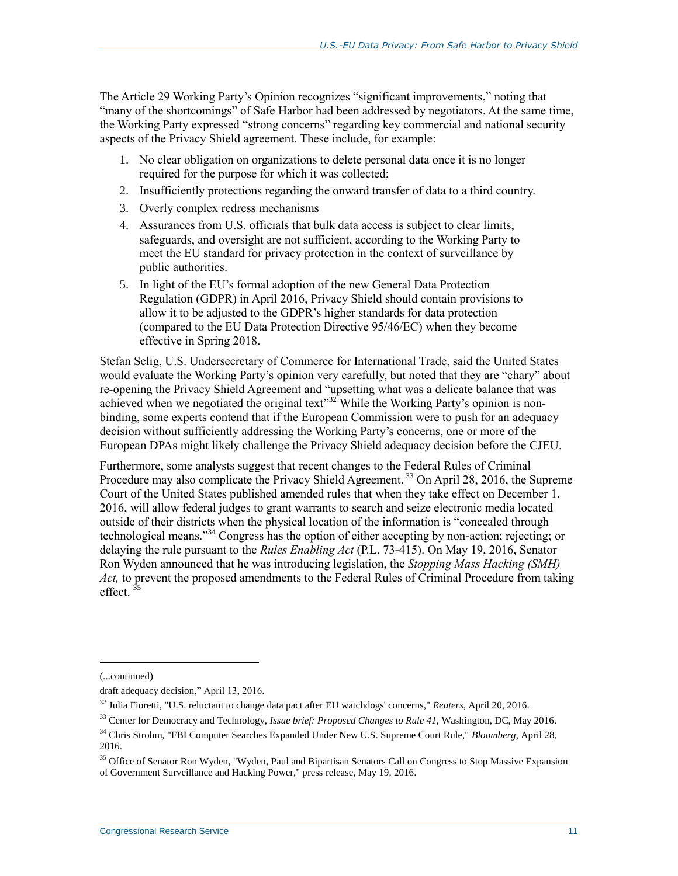The Article 29 Working Party's Opinion recognizes "significant improvements," noting that "many of the shortcomings" of Safe Harbor had been addressed by negotiators. At the same time, the Working Party expressed "strong concerns" regarding key commercial and national security aspects of the Privacy Shield agreement. These include, for example:

- 1. No clear obligation on organizations to delete personal data once it is no longer required for the purpose for which it was collected;
- 2. Insufficiently protections regarding the onward transfer of data to a third country.
- 3. Overly complex redress mechanisms
- 4. Assurances from U.S. officials that bulk data access is subject to clear limits, safeguards, and oversight are not sufficient, according to the Working Party to meet the EU standard for privacy protection in the context of surveillance by public authorities.
- 5. In light of the EU's formal adoption of the new General Data Protection Regulation (GDPR) in April 2016, Privacy Shield should contain provisions to allow it to be adjusted to the GDPR's higher standards for data protection (compared to the EU Data Protection Directive 95/46/EC) when they become effective in Spring 2018.

Stefan Selig, U.S. Undersecretary of Commerce for International Trade, said the United States would evaluate the Working Party's opinion very carefully, but noted that they are "chary" about re-opening the Privacy Shield Agreement and "upsetting what was a delicate balance that was achieved when we negotiated the original text"<sup>32</sup> While the Working Party's opinion is nonbinding, some experts contend that if the European Commission were to push for an adequacy decision without sufficiently addressing the Working Party's concerns, one or more of the European DPAs might likely challenge the Privacy Shield adequacy decision before the CJEU.

Furthermore, some analysts suggest that recent changes to the Federal Rules of Criminal Procedure may also complicate the Privacy Shield Agreement.<sup>33</sup> On April 28, 2016, the Supreme Court of the United States published amended rules that when they take effect on December 1, 2016, will allow federal judges to grant warrants to search and seize electronic media located outside of their districts when the physical location of the information is "concealed through technological means."<sup>34</sup> Congress has the option of either accepting by non-action; rejecting; or delaying the rule pursuant to the *Rules Enabling Act* (P.L. 73-415). On May 19, 2016, Senator Ron Wyden announced that he was introducing legislation, the *Stopping Mass Hacking (SMH) Act,* to prevent the proposed amendments to the Federal Rules of Criminal Procedure from taking effect.<sup>35</sup>

l

<sup>(...</sup>continued)

draft adequacy decision," April 13, 2016.

<sup>32</sup> Julia Fioretti, "U.S. reluctant to change data pact after EU watchdogs' concerns," *Reuters*, April 20, 2016.

<sup>33</sup> Center for Democracy and Technology, *Issue brief: Proposed Changes to Rule 41*, Washington, DC, May 2016.

<sup>34</sup> Chris Strohm, "FBI Computer Searches Expanded Under New U.S. Supreme Court Rule," *Bloomberg*, April 28, 2016.

<sup>&</sup>lt;sup>35</sup> Office of Senator Ron Wyden, "Wyden, Paul and Bipartisan Senators Call on Congress to Stop Massive Expansion of Government Surveillance and Hacking Power," press release, May 19, 2016.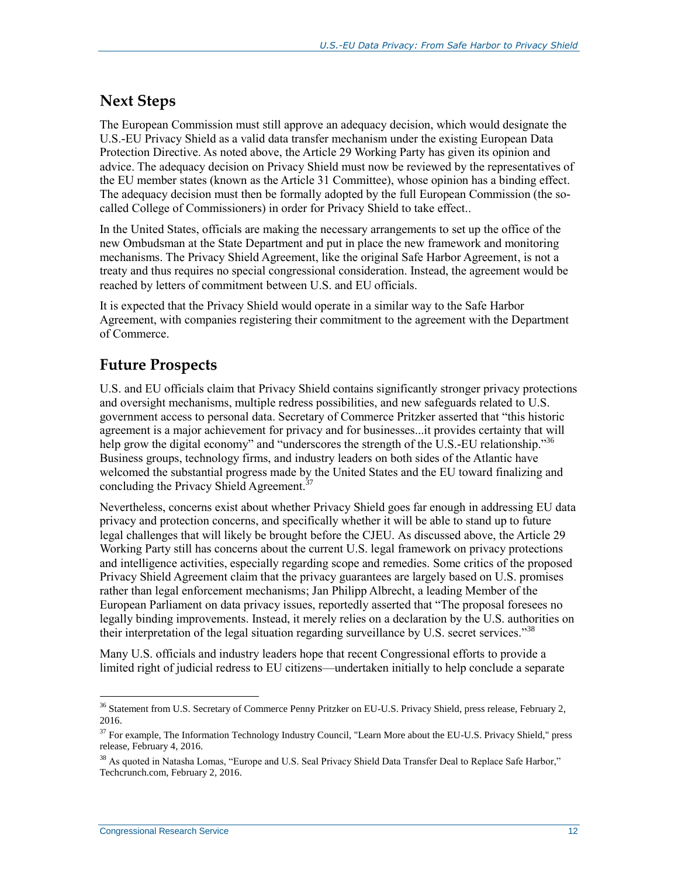#### **Next Steps**

The European Commission must still approve an adequacy decision, which would designate the U.S.-EU Privacy Shield as a valid data transfer mechanism under the existing European Data Protection Directive. As noted above, the Article 29 Working Party has given its opinion and advice. The adequacy decision on Privacy Shield must now be reviewed by the representatives of the EU member states (known as the Article 31 Committee), whose opinion has a binding effect. The adequacy decision must then be formally adopted by the full European Commission (the socalled College of Commissioners) in order for Privacy Shield to take effect..

In the United States, officials are making the necessary arrangements to set up the office of the new Ombudsman at the State Department and put in place the new framework and monitoring mechanisms. The Privacy Shield Agreement, like the original Safe Harbor Agreement, is not a treaty and thus requires no special congressional consideration. Instead, the agreement would be reached by letters of commitment between U.S. and EU officials.

It is expected that the Privacy Shield would operate in a similar way to the Safe Harbor Agreement, with companies registering their commitment to the agreement with the Department of Commerce.

### **Future Prospects**

U.S. and EU officials claim that Privacy Shield contains significantly stronger privacy protections and oversight mechanisms, multiple redress possibilities, and new safeguards related to U.S. government access to personal data. Secretary of Commerce Pritzker asserted that "this historic agreement is a major achievement for privacy and for businesses...it provides certainty that will help grow the digital economy" and "underscores the strength of the U.S.-EU relationship."<sup>36</sup> Business groups, technology firms, and industry leaders on both sides of the Atlantic have welcomed the substantial progress made by the United States and the EU toward finalizing and concluding the Privacy Shield Agreement.<sup>37</sup>

Nevertheless, concerns exist about whether Privacy Shield goes far enough in addressing EU data privacy and protection concerns, and specifically whether it will be able to stand up to future legal challenges that will likely be brought before the CJEU. As discussed above, the Article 29 Working Party still has concerns about the current U.S. legal framework on privacy protections and intelligence activities, especially regarding scope and remedies. Some critics of the proposed Privacy Shield Agreement claim that the privacy guarantees are largely based on U.S. promises rather than legal enforcement mechanisms; Jan Philipp Albrecht, a leading Member of the European Parliament on data privacy issues, reportedly asserted that "The proposal foresees no legally binding improvements. Instead, it merely relies on a declaration by the U.S. authorities on their interpretation of the legal situation regarding surveillance by U.S. secret services."<sup>38</sup>

Many U.S. officials and industry leaders hope that recent Congressional efforts to provide a limited right of judicial redress to EU citizens—undertaken initially to help conclude a separate

<sup>&</sup>lt;sup>36</sup> Statement from U.S. Secretary of Commerce Penny Pritzker on EU-U.S. Privacy Shield, press release, February 2, 2016.

<sup>&</sup>lt;sup>37</sup> For example, The Information Technology Industry Council, "Learn More about the EU-U.S. Privacy Shield," press release, February 4, 2016.

<sup>&</sup>lt;sup>38</sup> As quoted in Natasha Lomas, "Europe and U.S. Seal Privacy Shield Data Transfer Deal to Replace Safe Harbor," Techcrunch.com, February 2, 2016.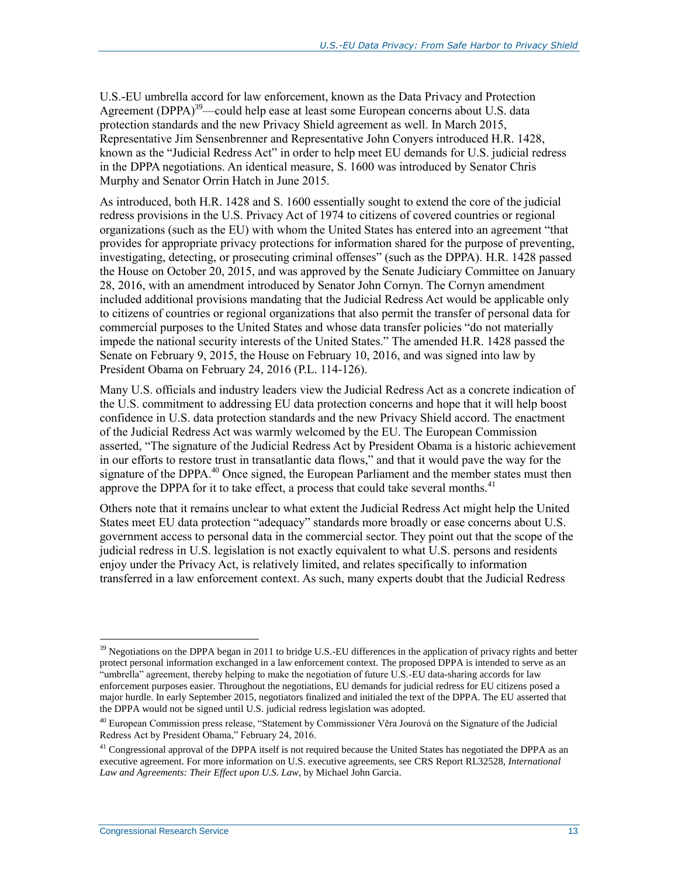U.S.-EU umbrella accord for law enforcement, known as the Data Privacy and Protection Agreement (DPPA)<sup>39</sup>—could help ease at least some European concerns about U.S. data protection standards and the new Privacy Shield agreement as well. In March 2015, Representative Jim Sensenbrenner and Representative John Conyers introduced H.R. 1428, known as the "Judicial Redress Act" in order to help meet EU demands for U.S. judicial redress in the DPPA negotiations. An identical measure, S. 1600 was introduced by Senator Chris Murphy and Senator Orrin Hatch in June 2015.

As introduced, both H.R. 1428 and S. 1600 essentially sought to extend the core of the judicial redress provisions in the U.S. Privacy Act of 1974 to citizens of covered countries or regional organizations (such as the EU) with whom the United States has entered into an agreement "that provides for appropriate privacy protections for information shared for the purpose of preventing, investigating, detecting, or prosecuting criminal offenses" (such as the DPPA). H.R. 1428 passed the House on October 20, 2015, and was approved by the Senate Judiciary Committee on January 28, 2016, with an amendment introduced by Senator John Cornyn. The Cornyn amendment included additional provisions mandating that the Judicial Redress Act would be applicable only to citizens of countries or regional organizations that also permit the transfer of personal data for commercial purposes to the United States and whose data transfer policies "do not materially impede the national security interests of the United States." The amended H.R. 1428 passed the Senate on February 9, 2015, the House on February 10, 2016, and was signed into law by President Obama on February 24, 2016 (P.L. 114-126).

Many U.S. officials and industry leaders view the Judicial Redress Act as a concrete indication of the U.S. commitment to addressing EU data protection concerns and hope that it will help boost confidence in U.S. data protection standards and the new Privacy Shield accord. The enactment of the Judicial Redress Act was warmly welcomed by the EU. The European Commission asserted, "The signature of the Judicial Redress Act by President Obama is a historic achievement in our efforts to restore trust in transatlantic data flows," and that it would pave the way for the signature of the DPPA.<sup>40</sup> Once signed, the European Parliament and the member states must then approve the DPPA for it to take effect, a process that could take several months. $41$ 

Others note that it remains unclear to what extent the Judicial Redress Act might help the United States meet EU data protection "adequacy" standards more broadly or ease concerns about U.S. government access to personal data in the commercial sector. They point out that the scope of the judicial redress in U.S. legislation is not exactly equivalent to what U.S. persons and residents enjoy under the Privacy Act, is relatively limited, and relates specifically to information transferred in a law enforcement context. As such, many experts doubt that the Judicial Redress

 $39$  Negotiations on the DPPA began in 2011 to bridge U.S.-EU differences in the application of privacy rights and better protect personal information exchanged in a law enforcement context. The proposed DPPA is intended to serve as an "umbrella" agreement, thereby helping to make the negotiation of future U.S.-EU data-sharing accords for law enforcement purposes easier. Throughout the negotiations, EU demands for judicial redress for EU citizens posed a major hurdle. In early September 2015, negotiators finalized and initialed the text of the DPPA. The EU asserted that the DPPA would not be signed until U.S. judicial redress legislation was adopted.

<sup>&</sup>lt;sup>40</sup> European Commission press release, "Statement by Commissioner Věra Jourová on the Signature of the Judicial Redress Act by President Obama," February 24, 2016.

 $^{41}$  Congressional approval of the DPPA itself is not required because the United States has negotiated the DPPA as an executive agreement. For more information on U.S. executive agreements, see CRS Report RL32528, *International Law and Agreements: Their Effect upon U.S. Law*, by Michael John Garcia.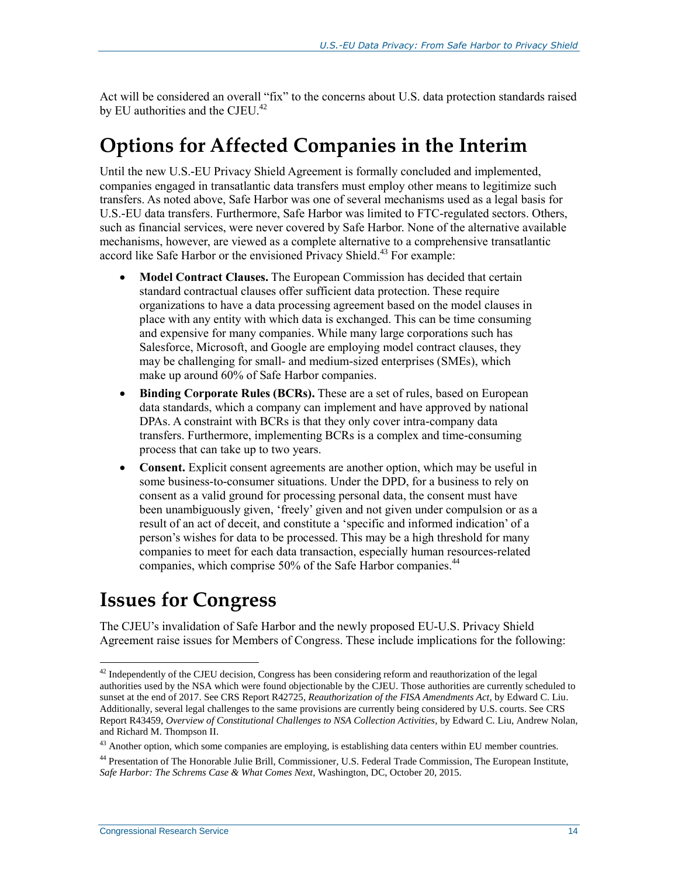Act will be considered an overall "fix" to the concerns about U.S. data protection standards raised by EU authorities and the CJEU.<sup>42</sup>

### **Options for Affected Companies in the Interim**

Until the new U.S.-EU Privacy Shield Agreement is formally concluded and implemented, companies engaged in transatlantic data transfers must employ other means to legitimize such transfers. As noted above, Safe Harbor was one of several mechanisms used as a legal basis for U.S.-EU data transfers. Furthermore, Safe Harbor was limited to FTC-regulated sectors. Others, such as financial services, were never covered by Safe Harbor. None of the alternative available mechanisms, however, are viewed as a complete alternative to a comprehensive transatlantic accord like Safe Harbor or the envisioned Privacy Shield.<sup>43</sup> For example:

- **Model Contract Clauses.** The European Commission has decided that certain standard contractual clauses offer sufficient data protection. These require organizations to have a data processing agreement based on the model clauses in place with any entity with which data is exchanged. This can be time consuming and expensive for many companies. While many large corporations such has Salesforce, Microsoft, and Google are employing model contract clauses, they may be challenging for small- and medium-sized enterprises (SMEs), which make up around 60% of Safe Harbor companies.
- **Binding Corporate Rules (BCRs).** These are a set of rules, based on European data standards, which a company can implement and have approved by national DPAs. A constraint with BCRs is that they only cover intra-company data transfers. Furthermore, implementing BCRs is a complex and time-consuming process that can take up to two years.
- Consent. Explicit consent agreements are another option, which may be useful in some business-to-consumer situations. Under the DPD, for a business to rely on consent as a valid ground for processing personal data, the consent must have been unambiguously given, 'freely' given and not given under compulsion or as a result of an act of deceit, and constitute a 'specific and informed indication' of a person's wishes for data to be processed. This may be a high threshold for many companies to meet for each data transaction, especially human resources-related companies, which comprise 50% of the Safe Harbor companies.<sup>44</sup>

## **Issues for Congress**

The CJEU's invalidation of Safe Harbor and the newly proposed EU-U.S. Privacy Shield Agreement raise issues for Members of Congress. These include implications for the following:

<sup>&</sup>lt;sup>42</sup> Independently of the CJEU decision, Congress has been considering reform and reauthorization of the legal authorities used by the NSA which were found objectionable by the CJEU. Those authorities are currently scheduled to sunset at the end of 2017. See CRS Report R42725, *Reauthorization of the FISA Amendments Act*, by Edward C. Liu. Additionally, several legal challenges to the same provisions are currently being considered by U.S. courts. See CRS Report R43459, *Overview of Constitutional Challenges to NSA Collection Activities*, by Edward C. Liu, Andrew Nolan, and Richard M. Thompson II.

<sup>&</sup>lt;sup>43</sup> Another option, which some companies are employing, is establishing data centers within EU member countries.

<sup>44</sup> Presentation of The Honorable Julie Brill, Commissioner, U.S. Federal Trade Commission, The European Institute, *Safe Harbor: The Schrems Case & What Comes Next*, Washington, DC, October 20, 2015.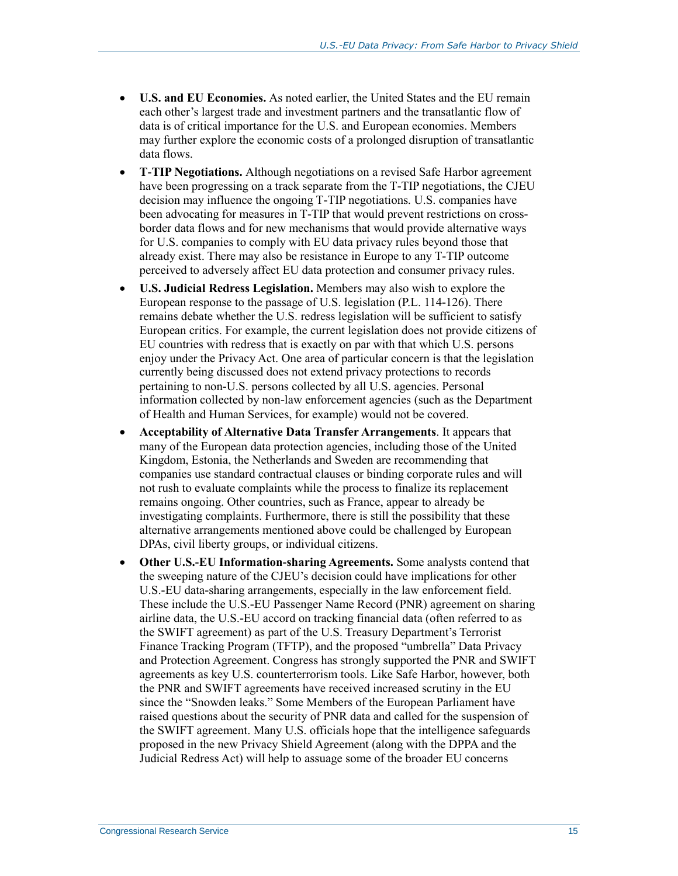- **U.S. and EU Economies.** As noted earlier, the United States and the EU remain each other's largest trade and investment partners and the transatlantic flow of data is of critical importance for the U.S. and European economies. Members may further explore the economic costs of a prolonged disruption of transatlantic data flows.
- **T-TIP Negotiations.** Although negotiations on a revised Safe Harbor agreement have been progressing on a track separate from the T-TIP negotiations, the CJEU decision may influence the ongoing T-TIP negotiations. U.S. companies have been advocating for measures in T-TIP that would prevent restrictions on crossborder data flows and for new mechanisms that would provide alternative ways for U.S. companies to comply with EU data privacy rules beyond those that already exist. There may also be resistance in Europe to any T-TIP outcome perceived to adversely affect EU data protection and consumer privacy rules.
- **U.S. Judicial Redress Legislation.** Members may also wish to explore the European response to the passage of U.S. legislation (P.L. 114-126). There remains debate whether the U.S. redress legislation will be sufficient to satisfy European critics. For example, the current legislation does not provide citizens of EU countries with redress that is exactly on par with that which U.S. persons enjoy under the Privacy Act. One area of particular concern is that the legislation currently being discussed does not extend privacy protections to records pertaining to non-U.S. persons collected by all U.S. agencies. Personal information collected by non-law enforcement agencies (such as the Department of Health and Human Services, for example) would not be covered.
- **Acceptability of Alternative Data Transfer Arrangements**. It appears that many of the European data protection agencies, including those of the United Kingdom, Estonia, the Netherlands and Sweden are recommending that companies use standard contractual clauses or binding corporate rules and will not rush to evaluate complaints while the process to finalize its replacement remains ongoing. Other countries, such as France, appear to already be investigating complaints. Furthermore, there is still the possibility that these alternative arrangements mentioned above could be challenged by European DPAs, civil liberty groups, or individual citizens.
- **Other U.S.-EU Information-sharing Agreements.** Some analysts contend that the sweeping nature of the CJEU's decision could have implications for other U.S.-EU data-sharing arrangements, especially in the law enforcement field. These include the U.S.-EU Passenger Name Record (PNR) agreement on sharing airline data, the U.S.-EU accord on tracking financial data (often referred to as the SWIFT agreement) as part of the U.S. Treasury Department's Terrorist Finance Tracking Program (TFTP), and the proposed "umbrella" Data Privacy and Protection Agreement. Congress has strongly supported the PNR and SWIFT agreements as key U.S. counterterrorism tools. Like Safe Harbor, however, both the PNR and SWIFT agreements have received increased scrutiny in the EU since the "Snowden leaks." Some Members of the European Parliament have raised questions about the security of PNR data and called for the suspension of the SWIFT agreement. Many U.S. officials hope that the intelligence safeguards proposed in the new Privacy Shield Agreement (along with the DPPA and the Judicial Redress Act) will help to assuage some of the broader EU concerns